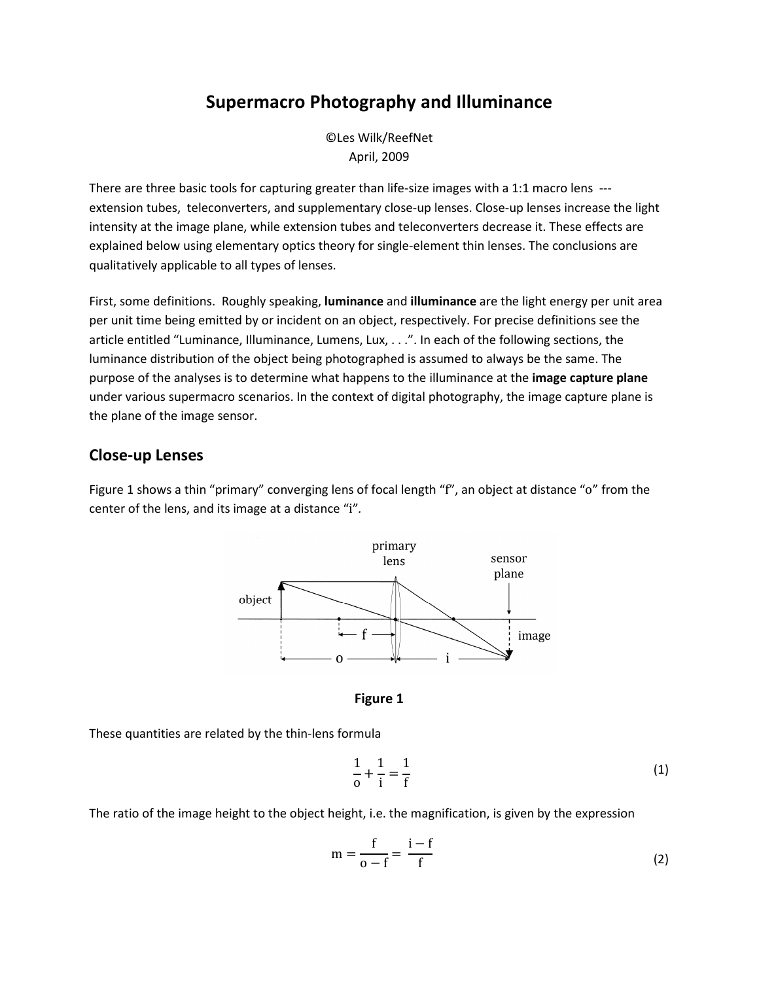# Supermacro Photography and Illuminance

©Les Wilk/ReefNet April, 2009

There are three basic tools for capturing greater than life-size images with a 1:1 macro lens -- extension tubes, teleconverters, and supplementary close-up lenses. Close-up lenses increase the light intensity at the image plane, while extension tubes and teleconverters decrease it. These effects are explained below using elementary optics theory for single-element thin lenses. The conclusions are qualitatively applicable to all types of lenses.

First, some definitions. Roughly speaking, luminance and illuminance are the light energy per unit area per unit time being emitted by or incident on an object, respectively. For precise definitions see the article entitled "Luminance, Illuminance, Lumens, Lux, . . .". In each of the following sections, the luminance distribution of the object being photographed is assumed to always be the same. The purpose of the analyses is to determine what happens to the illuminance at the image capture plane under various supermacro scenarios. In the context of digital photography, the image capture plane is the plane of the image sensor.

## Close-up Lenses

Figure 1 shows a thin "primary" converging lens of focal length "f", an object at distance "o" from the center of the lens, and its image at a distance "i".



Figure 1

These quantities are related by the thin-lens formula

$$
\frac{1}{\text{o}} + \frac{1}{\text{i}} = \frac{1}{\text{f}}\tag{1}
$$

The ratio of the image height to the object height, i.e. the magnification, is given by the expression

$$
m = \frac{f}{o - f} = \frac{i - f}{f}
$$
 (2)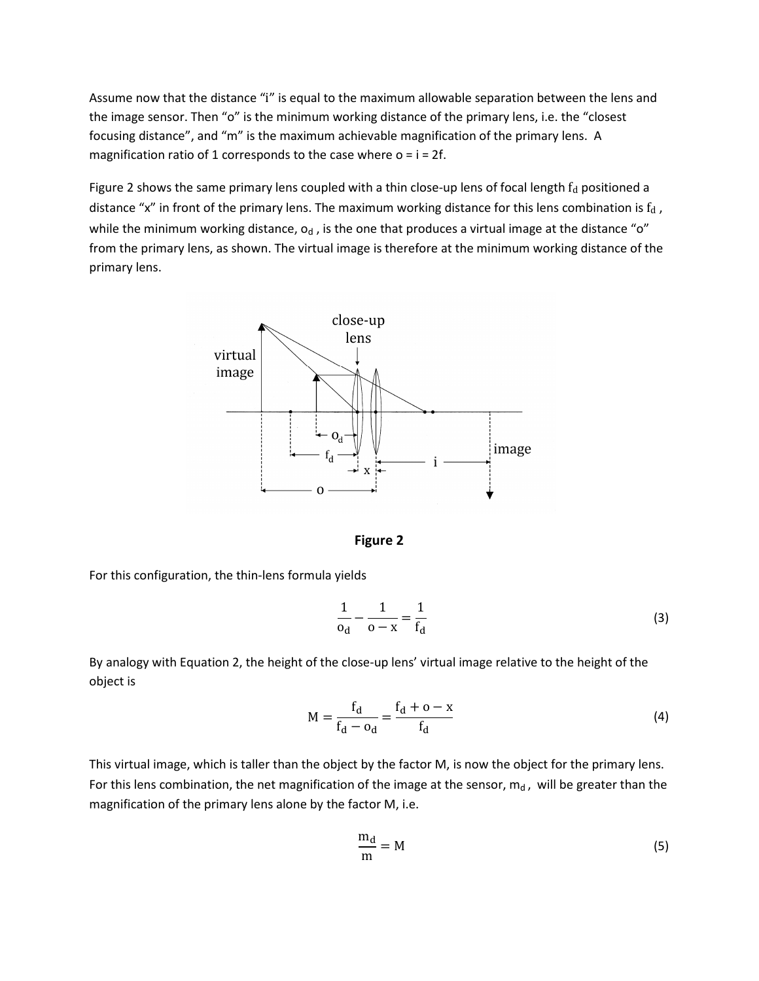Assume now that the distance "i" is equal to the maximum allowable separation between the lens and the image sensor. Then "o" is the minimum working distance of the primary lens, i.e. the "closest focusing distance", and "m" is the maximum achievable magnification of the primary lens. A magnification ratio of 1 corresponds to the case where  $o = i = 2f$ .

Figure 2 shows the same primary lens coupled with a thin close-up lens of focal length  $f<sub>d</sub>$  positioned a distance "x" in front of the primary lens. The maximum working distance for this lens combination is  $f_d$ , while the minimum working distance,  $o_d$ , is the one that produces a virtual image at the distance "o" from the primary lens, as shown. The virtual image is therefore at the minimum working distance of the primary lens.



Figure 2

For this configuration, the thin-lens formula yields

$$
\frac{1}{o_d} - \frac{1}{o - x} = \frac{1}{f_d}
$$
 (3)

By analogy with Equation 2, the height of the close-up lens' virtual image relative to the height of the object is

$$
M = \frac{f_d}{f_d - o_d} = \frac{f_d + o - x}{f_d}
$$
 (4)

This virtual image, which is taller than the object by the factor M, is now the object for the primary lens. For this lens combination, the net magnification of the image at the sensor,  $m_d$ , will be greater than the magnification of the primary lens alone by the factor M, i.e.

$$
\frac{m_d}{m} = M \tag{5}
$$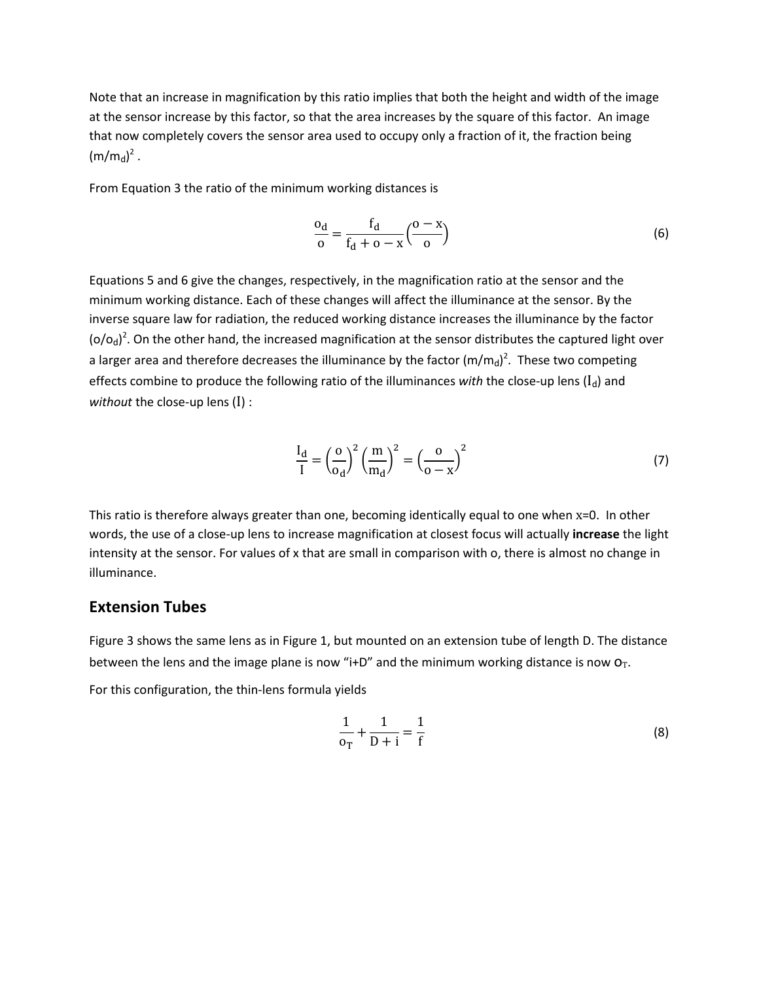Note that an increase in magnification by this ratio implies that both the height and width of the image at the sensor increase by this factor, so that the area increases by the square of this factor. An image that now completely covers the sensor area used to occupy only a fraction of it, the fraction being  $(m/m_d)^2$ .

From Equation 3 the ratio of the minimum working distances is

$$
\frac{o_d}{o} = \frac{f_d}{f_d + o - x} \left(\frac{o - x}{o}\right)
$$
 (6)

Equations 5 and 6 give the changes, respectively, in the magnification ratio at the sensor and the minimum working distance. Each of these changes will affect the illuminance at the sensor. By the inverse square law for radiation, the reduced working distance increases the illuminance by the factor  $({\rm o}/{\rm o_d})^2$ . On the other hand, the increased magnification at the sensor distributes the captured light over a larger area and therefore decreases the illuminance by the factor  $(\text{m/m}_\text{d})^2$ . These two competing effects combine to produce the following ratio of the illuminances with the close-up lens  $(I_d)$  and without the close-up lens  $(I)$  :

$$
\frac{I_d}{I} = \left(\frac{o}{o_d}\right)^2 \left(\frac{m}{m_d}\right)^2 = \left(\frac{o}{o - x}\right)^2\tag{7}
$$

This ratio is therefore always greater than one, becoming identically equal to one when x=0. In other words, the use of a close-up lens to increase magnification at closest focus will actually increase the light intensity at the sensor. For values of x that are small in comparison with o, there is almost no change in illuminance.

## Extension Tubes

Figure 3 shows the same lens as in Figure 1, but mounted on an extension tube of length D. The distance between the lens and the image plane is now "i+D" and the minimum working distance is now  $O_T$ .

For this configuration, the thin-lens formula yields

$$
\frac{1}{\mathbf{0}_T} + \frac{1}{\mathbf{D} + i} = \frac{1}{f}
$$
 (8)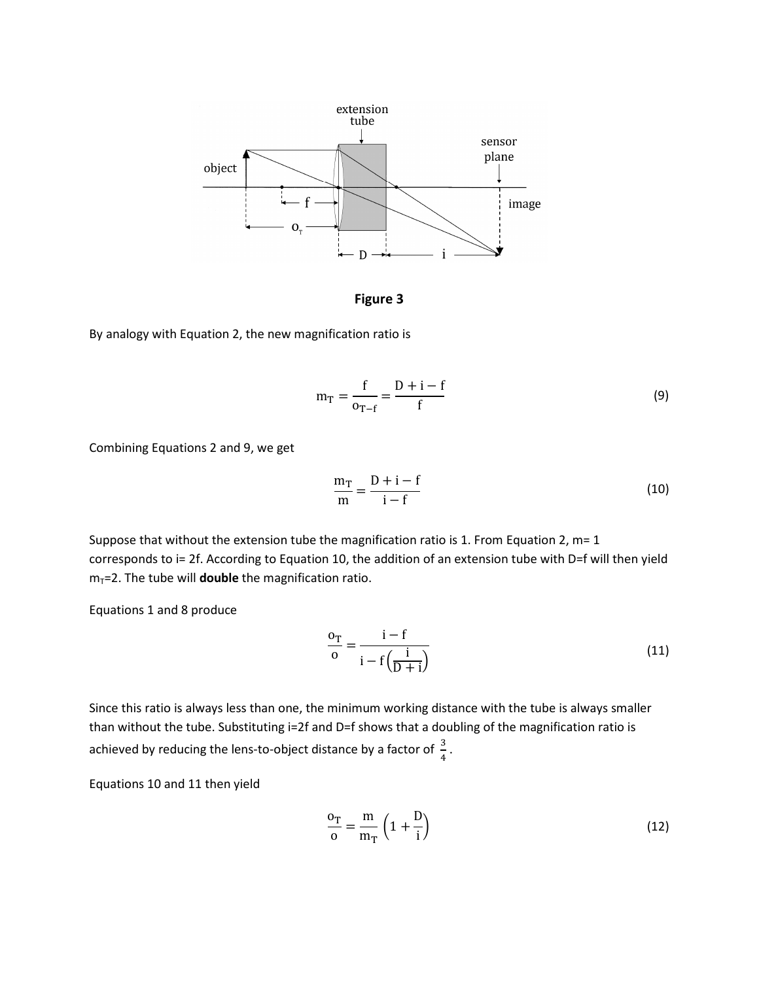

Figure 3

By analogy with Equation 2, the new magnification ratio is

$$
m_{T} = \frac{f}{o_{T-f}} = \frac{D + i - f}{f}
$$
 (9)

Combining Equations 2 and 9, we get

$$
\frac{m_T}{m} = \frac{D + i - f}{i - f} \tag{10}
$$

Suppose that without the extension tube the magnification ratio is 1. From Equation 2, m= 1 corresponds to i= 2f. According to Equation 10, the addition of an extension tube with D=f will then yield  $m_T$ =2. The tube will **double** the magnification ratio.

Equations 1 and 8 produce

$$
\frac{0_{\rm T}}{0} = \frac{i - f}{i - f\left(\frac{i}{D + i}\right)}\tag{11}
$$

Since this ratio is always less than one, the minimum working distance with the tube is always smaller than without the tube. Substituting i=2f and D=f shows that a doubling of the magnification ratio is achieved by reducing the lens-to-object distance by a factor of  $\frac{3}{4}$ .

Equations 10 and 11 then yield

$$
\frac{\text{o}_{\text{T}}}{\text{o}} = \frac{\text{m}}{\text{m}_{\text{T}}} \left( 1 + \frac{\text{D}}{\text{i}} \right) \tag{12}
$$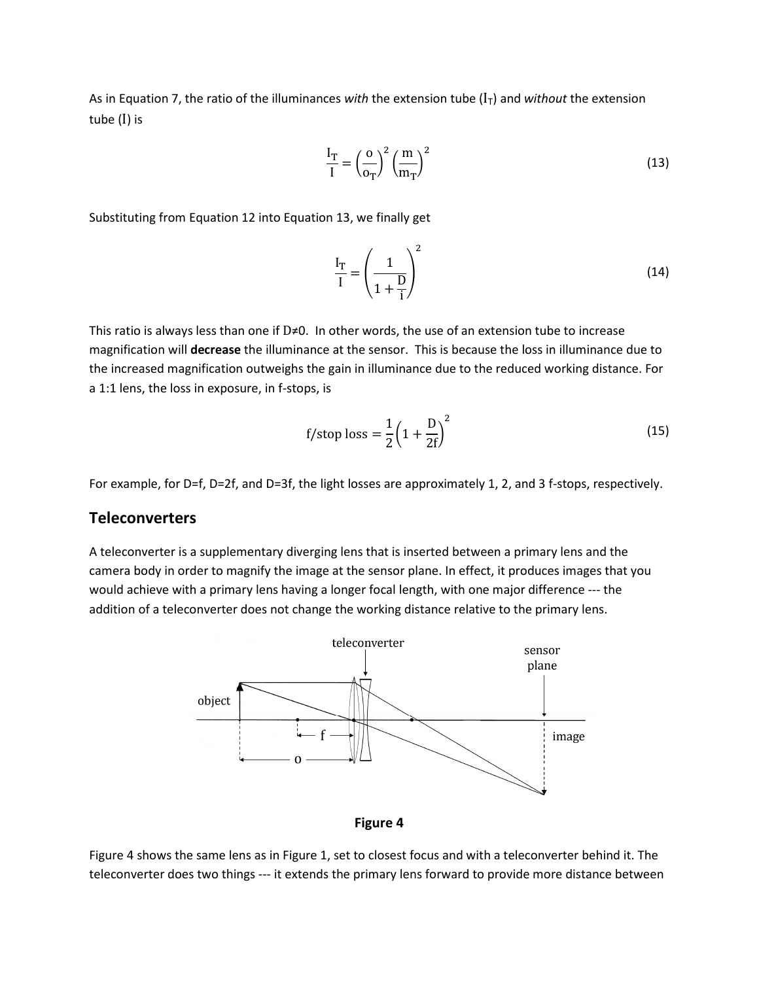As in Equation 7, the ratio of the illuminances with the extension tube  $(I<sub>T</sub>)$  and without the extension tube (I) is

$$
\frac{I_T}{I} = \left(\frac{\text{o}}{\text{o}_T}\right)^2 \left(\frac{\text{m}}{\text{m}_T}\right)^2 \tag{13}
$$

Substituting from Equation 12 into Equation 13, we finally get

$$
\frac{I_T}{I} = \left(\frac{1}{1 + \frac{D}{i}}\right)^2\tag{14}
$$

This ratio is always less than one if  $D \neq 0$ . In other words, the use of an extension tube to increase magnification will decrease the illuminance at the sensor. This is because the loss in illuminance due to the increased magnification outweighs the gain in illuminance due to the reduced working distance. For a 1:1 lens, the loss in exposure, in f-stops, is

f/stop loss 
$$
=
$$
  $\frac{1}{2} \left( 1 + \frac{D}{2f} \right)^2$  (15)

For example, for D=f, D=2f, and D=3f, the light losses are approximately 1, 2, and 3 f-stops, respectively.

#### **Teleconverters**

A teleconverter is a supplementary diverging lens that is inserted between a primary lens and the camera body in order to magnify the image at the sensor plane. In effect, it produces images that you would achieve with a primary lens having a longer focal length, with one major difference --- the addition of a teleconverter does not change the working distance relative to the primary lens.





Figure 4 shows the same lens as in Figure 1, set to closest focus and with a teleconverter behind it. The teleconverter does two things --- it extends the primary lens forward to provide more distance between